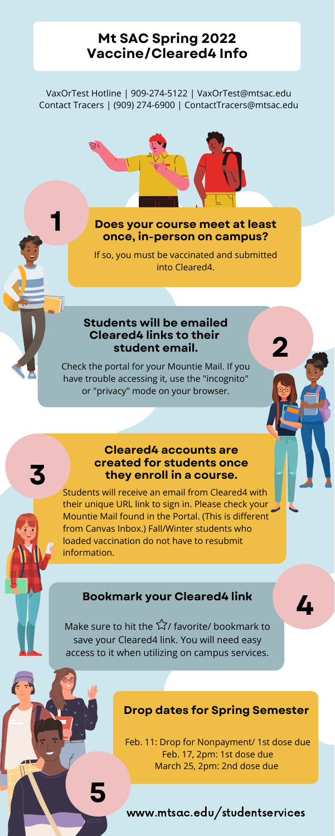**4**

# **Mt SAC Spring 2022 Vaccine/Cleared4 Info**

#### **Cleared4 accounts are created for students once they enroll in a course.**

Students will receive an email from Cleared4 with

their unique URL link to sign in. Please check your Mountie Mail found in the Portal. (This is different from Canvas Inbox.) Fall/Winter students who loaded vaccination do not have to resubmit information.

Make sure to hit the  $\widehat{\setminus}$  favorite/ bookmark to save your Cleared4 link. You will need easy access to it when utilizing on campus services.

**3**

**2**

**1**

Feb. 11: Drop for Nonpayment/ 1st dose due Feb. 17, 2pm: 1st dose due March 25, 2pm: 2nd dose due

#### **Drop dates for Spring Semester**

www.mtsac.edu/studentservices

**5**

#### **Bookmark your Cleared4 link**

If so, you must be vaccinated and submitted into Cleared4.

#### **Does your course meet at least once, in-person on campus?**

Check the portal for your Mountie Mail. If you have trouble accessing it, use the "incognito" or "privacy" mode on your browser.

#### **Students will be emailed Cleared4 links to their student email.**

VaxOrTest Hotline | 909-274-5122 | VaxOrTest@mtsac.edu Contact Tracers | (909) 274-6900 | ContactTracers@mtsac.edu